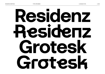# **Residenz Residenz Grotesk Grotesk**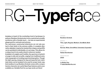RESIDENZ GROTESK LA BOLDE VITA 2 /105 ABOUT THE TYPEFACE

# RG—T**ype**face

**Jumping on board of the everlasting trend of grotesque typefaces, Residenz Grotesk aims to be a neutral and versatile workhorse with a friendly touch — but also an experimental playground for contrasts and extrema.**

**The well-known constructed letterforms are not only pushed to their limits in the extreme widths. A complete alternative alphabet, inspired by handwritten shapes and graffiti, can be sprinkled in individually or in set steps. This allows for a unique touch to be easily mixed in wherever needed. Available in 6 weights and 5 widths, the spectrum of potential usage is wide and versatile, ranging from traditional swiss style typography to trending experimental graphics. Though the tight spacing, designed for big and impactful text, individual styles can be tweaked to be used for proper body copy. And needless to say Residenz Grotesk comes with a comprehensive character set, useful OpenType features and is even available as a Variable Font for you type nerds out there!**

#### TYPEFACE

**Residenz Grotesk**

#### WEIGHTS

**Thin, Light, Regular, Medium, SemiBold, Bold**

#### WIDTHS

**Normal, Wide, ExtraWide, Extended, Expanded**

#### DESIGNED BY

**Fabian Dornhecker**

YEAR OF RELEASE

#### **2020**

#### AVAILABLE ON

**La Bolde Vita → www.laboldevita.com**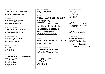#### DISCRETIONARY LIGATURES **TT TY YT ET FT LA MM NN OO**  $\Pi$   $\Pi$  $\Pi$  $\Pi$  $\Pi$  $\Omega$ **fj ffj ft ti tt oo**  $f$ **i** fi ft ti tt  $\infty$

## **fi fl ff ffi ffl fi fl ff ffi ffl**

#### STANDARD LIGATURES

## **abc��fghijklmn opqrsßtuvwxyz**

LOWERCASE ALTERNATE

### **ABCDEFGHIJKLMNO PQRS�TUVWXYZ**

UPPERCASE ALTERNATE

# **aabcdefgghijklmn opqrsßtuvwxyz**

**LOWERCASE** 

## **ABCDEFGHIIJJKLMNO PQRRS�TUVWXYZ**

UPPERCASE

# TABULAR FIGURES **00123456789 00123456789**

### **00123456789 0⁰123456789 ₀₀₁₂₃₄₅₆₇₈₉ [₀][1][2][3][₄][⁵][₆][⁷][⁸][⁹]**  $\begin{bmatrix} 0 & 1 & 2 & 3 & 4 & 5 & 6 & 7 & 8 & 9 \end{bmatrix}$ **⓪①②③④⑤⑥⑧⑨⓪ ⓿➊➋➌➍➎➏➐➑➒**

FIGURES **00123456789 0123456789**

CONTEXTUAL ALTERNATES **ẞ‽⸘⸘www de**

**=≠+−±×÷<>≤≥/**

**.,:;…!¡?¿·•\*⁑⁂✳#**

**'"'"'"«»‹›'"-–—\_**

**/\()[]{}@&†‡**

**=≠+−±×÷<>≤≥/|¦~≈¬ ⁄ ∕**

**ΔΩμπ∫∆∏∑∂√∙∞%‰**

MATHEMATICAL SYMBOLS

PUNCTUATION

OTHER SYMBOLS **¢£₣€\$¥¤®©℗™ №ℓªº°◊℮¶§ƒſ ←↑↓→↤↥↧↦↔↕ ↰↱↲↳↖↗↘↙ ▲▼▶◀◢◣◤◥**

### **()[]{}¡¿⸘:;«»‹›@**

ALTERNATE CASE-SENSITIVE FORMS

**()[]{}¡¿⸘:;·•-–—«»‹› ®©℗@ ˆˇ´ ` ˘˙ ¨� ˚ ˜˝ ¯¸ ˛**

CASE-SENSITIVE FORMS

**.,:;!¡?¿·• '"'"'"«»‹› ()[]{}@&**

ALTERNATE PUNCTUATION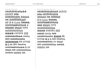#### ACCENTED CHARACTERS

**ÀÁÂÃÄÅĀĂĄǺẠÆǼ ÇĆĈĊČ ÐĎĐ ÈÉÊËĒĔĖĘĚẼẸ ĜĞĠĢǦ ĤĦ ÌÌÍÍÎÎÏÏĨĨĬĬĪĪĮĮỊỊİİ IJ� ĴĴ Ķ ĹĻĽĿŁ ÑŃŅŇŊ ÒÓÔÕÖØǾŌŎŐỌŒ Þ ŔŔŖŖŘŘ ŚŜŞȘŠ ŢȚŤŦ ÙÚÛÜŨŪŬŮŰŲỤ ŴẀẂẄ ÝŶŸȲỸỲ ŹŻŽ ááããååăăǻǻæǽ ćĉċčç ðďđ èéêëēĕėęěẽẹ ĝĝğğġġģģǧǧ ĥħ ìí î ï ĩ ĭīįịı ij� ĵ ȷ ķĸ ĺļľŀł ñńņň'nŋ òóôõöøǿōŏőọœœ þ ŕŗř śŝşșš ţțťŧ ùúûüũūŭůűųụ ẁẃẅŵ ýŷÿȳỹỳ źżž**

ACCENTED ALTERNATE CHARACTERS

**ÀÁÂÃÄÅĀĂĄǺẠÆǼ ÇĆĈĊČ ÐĎĐ ÈÉÊËĒĔĖĘĚẼẸ ĜĞĠĢǦ ĤĦ ÌÍÎÏĨĬĪĮỊİ Ĵ Ķ ĹĻĽĿŁ ÑŃŅŇŊ ÒÓÔÕÖØǾŌŎŐỌ Œ ŔŖŘ ŚŜŞȘŠ ŢȚŤŦ ÙÚÛÜŨŪŬŮŰŲỤ ŴẀẂẄ ÝŶŸȲỸỲ ŹŻŽ áãåăǻ ćĉċčç ðďđ èéêëēĕėęěẽẹ ĝğġģǧ ĥħ ìí î ï ĩĭī įị ı ij� ĵ ȷ ķ ĺļľŀł ñńņň'n ŋ òóôõöøǿōŏőọ ŕŗř śŝşșš ţțťŧ ùúûüũūŭůűųụ ẁẃẅŵ ýŷÿȳỹỳ źżž**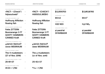CASE-SENSITIVE PUNCTUATION **▶** CASE

| >FACT< - (Check*)        | ⊣ |
|--------------------------|---|
| hi@soul:web <sup>®</sup> |   |

STANDARD LIGATURES **▶** LIGA

| <b>Hoffnung Affliction</b> | $\rightarrow$ |
|----------------------------|---------------|
| flowing fish               | →             |

DISCRETIONARY LIGATURES **▶** DLIG

| <b>Fette ZITTERN</b> | $\rightarrow$ |
|----------------------|---------------|
| Boomerangs 3 FT      | $\rightarrow$ |
| <b>GOOTY HAMMERS</b> | $\rightarrow$ |
| <b>CANNED Kraft</b>  | →             |

#### CONTEXTUAL ALTERNATES **▶** CALT

| ¿¡Jamón Ibérico!? |  |
|-------------------|--|
| www WEIBRAUM      |  |

OLDSTYLE FIGURES **▶** ONUM

| The 4 musketeers             |  |
|------------------------------|--|
| $(27 \text{ of Nov. } 2016)$ |  |

|  |  | - - |
|--|--|-----|
|  |  |     |
|  |  |     |
|  |  |     |
|  |  |     |

TABULAR LINING FIGURES **▶** TNUM

| 25+81≈37 | $25 -$ |
|----------|--------|
|          |        |

DYNAMIC FRACTIONS **▶** FRAC

| 41/23 = 1,782 | $41/23 = 1,782$ |
|---------------|-----------------|
|               |                 |

**›FACT‹ • (Check\*) → ›FACT‹ • (CHECK\*) hi@soul:web© → HI@SOUL:WEB©**

> **Hoffnung Affliction <sup>→</sup> Hoffnung Affliction flowing fish <sup>→</sup> flowing fish**

**Fette ZITTERN <sup>→</sup> Fette ZITTERN Boomerangs 3 FT <sup>→</sup> Boomerangs 3 FT GOOTY HAMMERS <sup>→</sup> GOOTY HAMMERS CANNED Kraft <sup>→</sup> CANNED Kraft**

**¿¡Jamón Ibérico!? <sup>→</sup> ⸘Jamón Ibérico‽ www WEIßRAUM <sup>→</sup> www WEIßRAUM The 4 musketeers <sup>→</sup> The 4 musketeers (27 of Nov. 2016) <sup>→</sup> (27 of Nov. 2016) <sup>+81≈37</sup>** 

| <b>B2,0510703</b>                      | $\rightarrow$ | B2.0510703          |
|----------------------------------------|---------------|---------------------|
| SUPERSCRIPT ▶ SUPS<br>64 m 2           | $\rightarrow$ | $64 \,\mathrm{m}^2$ |
| SUBSCRIPT ▶ SUBS<br><b>H20 N03</b>     | →             | $H_2O$ $NO_3$       |
| LOCALIZED FORMS ▶ LOCL<br>si paral·lel | →             | si parallel         |

**DIYARBAKIR <sup>→</sup> DİYARBAKIR**

SLASHED ZERO **▶** ZERO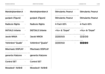| STYLISTIC SET 01 (Alternative a) ▶ SS01<br>Mariah@tambien.it<br>$\rightarrow$                     | Mariah@tambien.it        | STYLISTIC SET 15 (Alternative Square Forms) ▶ SS15<br>Stimulants; Peanut <sup>+</sup> |               | <b>Stimulants; Peanut</b>  |
|---------------------------------------------------------------------------------------------------|--------------------------|---------------------------------------------------------------------------------------|---------------|----------------------------|
| STYLISTIC SET 02 (Alternative g) ▶ SS02<br>gunjack {Figure}<br>$\rightarrow$                      | gunjack {Figure}         | STYLISTIC SET 16 (Alternative Square Forms) ▶ SS16<br>Stimulants; Peanut <sup>+</sup> |               | <b>Stimulants</b> ; Peanut |
| STYLISTIC SET 03 (Alternative R) ▶ SS03<br><b>Radiccio Rights</b><br>$\rightarrow$                | <b>Radiccio Rights</b>   | STYLISTIC SET 17 (Alternative Figures Free Forms) ▶ SS17<br>4-Fach 63%                | $\rightarrow$ | 4-Fach 63%                 |
| STYLISTIC SET 04 (Alternative S/s) ▶ SS04<br><b>INITIALS Infante</b><br>$\rightarrow$             | <b>INITIALS Infante</b>  | STYLISTIC SET 18 (Alternative Punctuation Free Forms) ▶ SS18<br>»Yo:« & "Dope!"       | $\rightarrow$ | »Yo;« & "Dope!"            |
| STYLISTIC SET 05 (Alternative X/x) ▶ SS05<br><b>Jacob NINJA</b><br>$\rightarrow$                  | <b>Jacob NINJA</b>       | STYLISTIC SET 19 (Contoured Square and Round Numbers) > SS19<br>[2][0](1)(3)          | $\rightarrow$ | 2000                       |
| STYLISTIC SET 10 (Alternative Free Forms) ▶ SS10<br>Yohimbre! "Qualie"<br>$\rightarrow$           | Yohimbre! "Qualie"       | STYLISTIC SET 20 (Filled Square and Round Numbers) ▶ SS20<br>[2][0](1)(2)             | $\rightarrow$ | 2002                       |
| STYLISTIC SET 11 (50% Alternative Free Forms) ▶ SS11<br>Mischsatz DISPLAY →                       | <b>Mischsatz DISPLAY</b> |                                                                                       |               |                            |
| STYLISTIC SET 12 (33% Alternative Free Forms) ▶ SS12<br>generös/Kalzone<br>$\rightarrow$          | generös/Kalzoпe          |                                                                                       |               |                            |
| STYLISTIC SET 13 (Alternative Uppercase Free Forms) ▶ SS13<br><b>Control SET</b><br>$\rightarrow$ | <b>Control SET</b>       |                                                                                       |               |                            |

STYLISTIC SET 14 (Alternative Lowercase Free Forms) **▶** SS14

**Moseleck\* AirBnB <sup>→</sup> Moseleck\* AirBnB**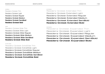WEIGHTS & WIDTHS

NORMAL Residenz Grotesk Thin Residenz Grotesk Light Residenz Grotesk Regular Residenz Grotesk Medium **Residenz Grotesk SemiBold Residenz Grotesk Bold**

WIDE

Residenz Grotesk Wide Thin Residenz Grotesk Wide Light Residenz Grotesk Wide Regular Residenz Grotesk Wide Medium **Residenz Grotesk Wide SemiBold Residenz Grotesk Wide Bold**

EXTRA WIDE

Residenz Grotesk ExtraWide Thin Residenz Grotesk ExtraWide Light Residenz Grotesk ExtraWide Regular Residenz Grotesk ExtraWide Medium Residenz Grotesk ExtraWide SemiBold **Residenz Grotesk ExtraWide Bold**

EXTENDED Residenz Grotesk Extended Thin Residenz Grotesk Extended Light Residenz Grotesk Extended Regular Residenz Grotesk Extended Medium Residenz Grotesk Extended SemiBold **Residenz Grotesk Extended Bold**

EXPANDED Residenz Grotesk Expanded Thin Residenz Grotesk Expanded Light Residenz Grotesk Expanded Regular Residenz Grotesk Expanded Medium Residenz Grotesk Expanded SemiBold **Residenz Grotesk Expanded Bold**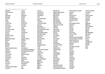**Czech Danish Dawan Delaware Dholuo Drehu Dutch English Esperanto Estonian Faroese Fijian Filipino Finnish Folkspraak French Frisian Friulian**

**Galician Ganda Genoese German Gikuyu Gooniyandi**

**Gwich'in**

**Hungarian Icelandic Ido Igbo**

**Hän Hawaiian Hiligaynon Hopi**

| Abenaki                   |
|---------------------------|
| Afaan Oromo               |
| Afar                      |
| Afrikaans                 |
| <b>Albanian</b>           |
| Alsatian                  |
| Amis                      |
| Anuta                     |
| Aragonese                 |
| <b>Aranese</b>            |
| Aromanian                 |
| Arrernte                  |
| Arvanitic (Latin)         |
| Asturian                  |
| Atayal                    |
| Aymara                    |
| <b>Bashkir (Latin)</b>    |
| <b>Basque</b>             |
| <b>Belarusian (Latin)</b> |
| <b>Bemba</b>              |
| Bikol                     |
| <b>Bislama</b>            |
| <b>Bosnian</b>            |
| Breton                    |
| Cape Verdean Creole       |
| Catalan                   |
| Cebuano                   |
| Chamorro                  |
| Chavacano                 |
| Chichewa                  |
| Chickasaw                 |
| Cimbrian                  |
| Cofán                     |
| Cornish                   |
| Corsican                  |
| <b>Creek</b>              |
| Crimean Tatar (Latin)     |
| Croatian                  |

**Gagauz (Latin) Greenlandic (Kalaallisut) Guadeloupean Creole Haitian Creole Hotcąk (Latin) Ilocano Irish Italian Ladin Latin Lojban Maasai Malay Manx**

**Indonesian Interglossa Interlingua Istro-Romanian Jamaican Javanese (Latin) Jèrriais Kaingang Kala Lagaw Ya Kapampangan (Latin) Kaqchikel Karakalpak (Latin) Karelian (Latin) Kashubian Kikongo Kinyarwanda Kiribati Kirundi Klingon Kurdish (Latin) Latino sine Flexione Latvian Lithuanian Lombard Low Saxon Luxembourgish Makhuwa Maltese Māori**

**Marquesan Megleno-Romanian Meriam Mir Mirandese Mohawk Moldovan Montagnais Montenegrin Murrinh-Patha Nagamese Creole Nahuatl Ndebele Neapolitan Ngiyambaa Niuean Noongar Norwegian Novial Occidental Occitan Onĕipŏt Oshiwambo Ossetian (Latin) Palauan Papiamento Piedmontese Polish Portuguese Potawatomi Q'eqchi' Quechua Rarotongan Romanian Romansh Rotokas Sami (Inari Sami) Sami (Lule Sami) Sami (Northern Sami)**

**Sami (Southern Sami) Samoan Sango Saramaccan Sardinian Scottish Gaelic Serbian (Latin) Seri Seychellois Creole Shawnee Shona Sicilian Silesian Slovak Slovenian Slovio (Latin) Somali Sorbian (Lower Sorbian) Sorbian (Upper Sorbian) Sotho (Northern) Sotho (Southern) Spanish Sranan Sundanese (Latin) Swahili Swazi Swedish Tagalog Tahitian Tetum Tok Pisin Tokelauan Tongan Tshiluba Tsonga Tswana Tumbuka Turkish**

**Turkmen (Latin) Tuvaluan Tzotzil Uzbek (Latin) Venetian Vepsian Volapük Võro Wallisian Walloon Waray-Waray Warlpiri Wayuu Welsh Wik-Mungkan Wiradjuri Wolof Xavante Xhosa Yapese Yindjibarndi Zapotec Zazaki Zulu Zuni**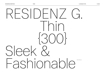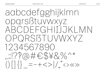10/105

# aabcdefgghijkImn opgrsßtuvwxvz BCDFFGHIJKI MN OPQRSBTUVWXY7 1234567890  $.9700\#69482\%$  $\left(\left(\begin{array}{c} 0 \\ 0 \end{array}\right) \left[\begin{array}{c} 0 \\ 0 \end{array}\right] \left[\begin{array}{c} 0 \\ 0 \end{array}\right] = - + <\!> \left|\begin{array}{c} 0 \\ 0 \end{array}\right| < \frac{1}{2} <\!> <\!\!<\!\!> \right>$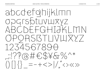

11/105

**LA BOLDE VITA**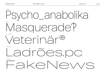NORMAL Psycho\_anabolika WIDE Masquerade? EXTRAWIDE Veterinär® EXTENDED Ladrões.pc EXPANDED FakeNews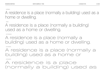NORMAL

A residence is a place (normally a building) used as a home or dwelling.

WIDE

A residence is a place (normally a building) used as a home or dwelling.

EXTRAWIDE

A residence is a place (normally a building) used as a home or dwelling.

EXTENDED

A residence is a place (normally a building) used as a home or

EXPANDED

# A residence is a place (normally a building) used as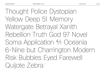Thought Police Dystopian Yellow Deep 51 Memory Watergate Betrayal Xanith Rebellion Truth God 97 Novel Soma Application 4⁄1 Oceania 6-Nine but Charrington Modern Risk Bubbles Eyed Farewell Quijote Zebra<sup>48/62pt</sup>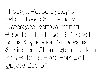Thought Police Dystopian Yelloш Deep 51 Метогу Watergate Betrayal Xanith Rebellion Truth God 97 Novel Soma Application 4⁄1 Oceania 6-Nine but Charrington Modern Risk Bubbles Eyed Farewell Quijote Zebra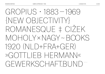GROPIUS • 1883—1969 {NEW OBJECTIVITY} ROMANESQUE ‡ CIŽEK MOHOLY×NAGY~BOOKS 1920 (NLD+FRA+GER) »GOTTI IFB HERMANN« GEWERKSCHAFT.BUND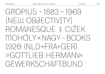GROPIUS • 1883—1969 {NEW OBJECTIVITY} ROMANESQUE ‡ CIŽEK MOHOLY×NAGY~BOOKS 1920 (NLD+FRA+GER) »GOTTI IFB HFRMANN« GEWERKSCHAFTBUND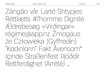Zângão vår Lartë Shtypjes Réttlætis #l'homme Dignité Ældrebesøg »Virðingar« régime@app.nz Žmogaus że Człowieka [Gyffredin] "Kadınların" Fakt Ävensom\* Içinde Straßenfest Þjóðdir Rettferdighet (Arrêté) ..."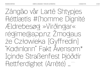Zângão vår Lartë Shtypjes Réttlætis #l'homme Dignité Ældrebesøg »Virðingar« régime@app.nz Žmogaus że Człowieka [Gyffredin] "Kadınların" Fakt Ävensom\* Içinde Straßenfest Þjóðdir Rettferdighet (Arrêté) …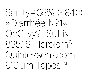$S$ anity $\neq$ 69% (~84¢) » Diarrhée Nº1« OhGilvy? {Suffix} 835.1\$ Heroism® Quintessenz.com 910 um Tapes<sup>TM</sup>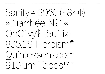**LA BOLDE VITA** 

 $S$ anity $\neq$ 69% (~84¢) » Diarrhée Nº1« OhGilvy? {Suffix} 835.1\$ Heroism® Quintessenz.com 910 um Tapes<sup>TM</sup>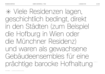✳ Viele Residenzen lagen, geschichtlich bedingt, direkt in den Städten (zum Beispiel die Hofburg in Wien oder die Münchner Residenz) und waren als gewachsene Gebäudeensembles für eine prächtige barocke Hofhaltung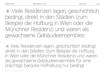✳ Viele Residenzen lagen, geschichtlich bedingt, direkt in den Städten (zum Beispiel die Hofburg in Wien oder die Münchner Residenz) und waren als gewachsene Gebäudeensembles

✳ Viele Residenzen lagen, geschichtlich bedingt, direkt in den Städten (zum Beispiel die Hofburg in Wien oder die Münchner Residenz) und waren als gewachsene Gebäudeensembles für eine prächtige barocke Hofhaltung nur bedingt 32/39pt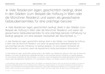✳ Viele Residenzen lagen, geschichtlich bedingt, direkt in den Städten (zum Beispiel die Hofburg in Wien oder die Münchner Residenz) und waren als gewachsene Gebäudeensembles für eine prächtige barocke<sup>24/30 pt</sup>

✳ Viele Residenzen lagen, geschichtlich bedingt, direkt in den Städten (zum Beispiel die Hofburg in Wien oder die Münchner Residenz) und waren als gewachsene Gebäudeensembles für eine prächtige barocke Hofhaltung nur bedingt geeignet. Um eine bessere Heizbarkeit der Räumlichkeit zu 18/23 pt

✳ Viele Residenzen lagen, geschichtlich bedingt, direkt in den Städten (zum Beispiel die Hofburg in Wien oder die Münchner Residenz) und waren als gewachsene Gebäudeensembles für eine prächtige barocke Hofhaltung nur bedingt geeignet. Um eine bessere Heizbarkeit der Räumlichkeiten zu erreichen, waren die Appartements häufig bescheidener dimensioniert 14/19 pt

✳ Viele Residenzen lagen, geschichtlich bedingt, direkt in den Städten (zum Beispiel die Hofburg in Wien oder die Münchner Residenz) und waren als gewachsene Gebäudeensembles für eine prächtige barocke Hofhaltung nur bedingt geeignet. Um eine bessere Heizbarkeit der Räumlichkeiten zu erreichen, waren die Appartements häufig bescheidener dimensioniert. Zudem lagen althergebrachte Residenzen oft in eng bebauten Gassen und Straßen, wodurch viele Räume wenig 11/15 pt

✳ Viele Residenzen lagen, geschichtlich bedingt, direkt in den Städten (zum Beispiel die Hofburg in Wien oder die Münchner Residenz) und waren als gewachsene Gebäudeensembles für eine prächtige barocke Hofhaltung nur bedingt geeignet. Um eine bessere Heizbarkeit der Räumlichkeiten zu erreichen, waren die Appartements häufig bescheidener dimensioniert. Zudem lagen althergebrachte Residenzen oft in eng bebauten Gassen und Straßen, wodurch viele Räume wenig Tageslicht hatten. Außerdem mussten nach einem langen Winter die (alten) Kamine aufwändig gekehrt 9/13 pt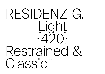# RESIDENZ G. Light {420} Restrained Classic 100/100 pt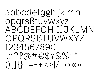26/105

aabcdefgghijkImn opgrsßtuvwxyz ABCDFFGHIJJKI MN OPQRSBTUVWXYZ 1234567890  $17700\#6548\%$  $( ) \| \}$  =-+<>|/"<>>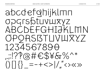abcdefohijklmn OPGISPLIVLIXYZ ABCDEFGHIJKLMN OPORSBTLIVLIXYZ 1234567890  $177077677674070*$  $\int_{0}^{1}$ 

**LA BOLDE VITA**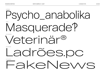NORMAL

# Psycho\_anabolika **WIDE** Masquerade? EXTRAWIDE Veterinär® EXTENDED Ladrões.pc EXPANDED FakeNews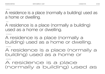NORMAL

A residence is a place (normally a building) used as a home or dwelling.

WIDE

A residence is a place (normally a building) used as a home or dwelling.

EXTRAWIDE

A residence is a place (normally a building) used as a home or dwelling.

EXTENDED

A residence is a place (normally a building) used as a home or

EXPANDED

# A residence is a place (normally a building) used as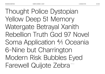Thought Police Dystopian Yellow Deep 51 Memory Watergate Betrayal Xanith Rebellion Truth God 97 Novel Soma Application 4⁄1 Oceania 6-Nine but Charrington Modern Risk Bubbles Eyed Farewell Quijote Zebra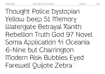Thought Police Dystopian Yellow Deep 51 Memory Watergate Betrayal Xanith Rebellion Truth God 97 Novel Soma Application 4⁄1 Oceania 6-Nine but Charrington Modern Risk Bubbles Eyed Farewell Quijote Zebra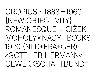GROPIUS • 1883—1969 {NEW OBJECTIVITY} ROMANESQUE ‡ CIŽEK MOHOLY×NAGY~BOOKS 1920 (NLD+FRA+GER) »GOTTLIEB HERMANN« GEWERKSCHAFT.BUND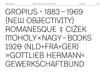GROPIUS • 1883—1969 {NEW OBJECTIVITY} ROMANESQUE ‡ CIŽEK MOHOLY×NAGY~BOOKS 1920 (NLD+FRA+GER) »GOTTI IFB HFRMANN« GEWERKSCHAFT.BUND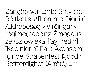Zângão vår Lartë Shtypjes Réttlætis #l'homme Dignité Ældrebesøg »Virðingar« régime@app.nz Žmogaus że Człowieka [Gyffredin] "Kadınların" Fakt Ävensom\* Içinde Straßenfest Þjóðdir Rettferdighet (Arrêté) ...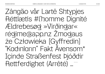Zângão vår Lartë Shtypjes Réttlætis #l'homme Dignité Ældrebesøg »Virðingar« régime@app.nz Žmogaus że Człowieka [Gyffredin] "Kadınların" Fakt Ävensom\* Içinde Straßenfest Þjóðdir Rettferdighet (Arrêté) ...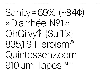**LA BOLDE VITA** 

Sanity  $\neq 69\%$  (~84¢) » Diarrhée Nº1« OhGilvy? {Suffix} 835.1\$ Heroism® Quintessenz.com 910 um Tapes<sup>TM</sup>

36/105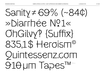**LA BOLDE VITA** 

 $S$ anity  $\neq$  69% (~84¢) » Diarrhée Nº1« OhGilvy? {Suffix} 835.1\$ Heroism® Quintessenz.com 910 UM Tapes M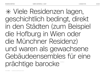✳ Viele Residenzen lagen, geschichtlich bedingt, direkt in den Städten (zum Beispiel die Hofburg in Wien oder die Münchner Residenz) und waren als gewachsene Gebäudeensembles für eine prächtige barocke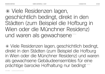✳ Viele Residenzen lagen, geschichtlich bedingt, direkt in den Städten (zum Beispiel die Hofburg in Wien oder die Münchner Residenz) und waren als gewachsene

✳ Viele Residenzen lagen, geschichtlich bedingt, direkt in den Städten (zum Beispiel die Hofburg in Wien oder die Münchner Residenz) und waren als gewachsene Gebäudeensembles für eine prächtige barocke Hofhaltung nur bedingt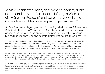✳ Viele Residenzen lagen, geschichtlich bedingt, direkt in den Städten (zum Beispiel die Hofburg in Wien oder die Münchner Residenz) und waren als gewachsene Gebäudeensembles für eine prächtige barocke<sup>24/30 pt</sup>

✳ Viele Residenzen lagen, geschichtlich bedingt, direkt in den Städten (zum Beispiel die Hofburg in Wien oder die Münchner Residenz) und waren als gewachsene Gebäudeensembles für eine prächtige barocke Hofhaltung nur bedingt geeignet. Um eine bessere Heizbarkeit der Räumlichkeiten 18/23 pt

✳ Viele Residenzen lagen, geschichtlich bedingt, direkt in den Städten (zum Beispiel die Hofburg in Wien oder die Münchner Residenz) und waren als gewachsene Gebäudeensembles für eine prächtige barocke Hofhaltung nur bedingt geeignet. Um eine bessere Heizbarkeit der Räumlichkeiten zu erreichen, waren die Appartements häufig bescheidener dimensioniert. 14/19 pt

✳ Viele Residenzen lagen, geschichtlich bedingt, direkt in den Städten (zum Beispiel die Hofburg in Wien oder die Münchner Residenz) und waren als gewachsene Gebäudeensembles für eine prächtige barocke Hofhaltung nur bedingt geeignet. Um eine bessere Heizbarkeit der Räumlichkeiten zu erreichen, waren die Appartements häufig bescheidener dimensioniert. Zudem lagen althergebrachte Residenzen oft in eng bebauten Gassen und Straßen, wodurch viele 11/15 pt

✳ Viele Residenzen lagen, geschichtlich bedingt, direkt in den Städten (zum Beispiel die Hofburg in Wien oder die Münchner Residenz) und waren als gewachsene Gebäudeensembles für eine prächtige barocke Hofhaltung nur bedingt geeignet. Um eine bessere Heizbarkeit der Räumlichkeiten zu erreichen, waren die Appartements häufig bescheidener dimensioniert. Zudem lagen althergebrachte Residenzen oft in eng bebauten Gassen und Straßen, wodurch viele Räume wenig Tageslicht hatten. Außerdem mussten nach einem langen Winter nicht oder nur ungenügend hätten 9/13 pt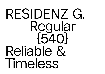# RESIDENZ G. Regular {540} Reliable & Timeless 100/100 pt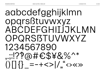#### 42/105

aabcdefgghijklmn opgrsßtuvwxyz ABCDEFGHIJJKLMN OPQRSBTUVWXYZ 1234567890  $1.177a#E$48\%^*$  $( ) \| \}$  =-+<>|/"<>>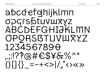abcdefqhijklmn OPGISPTINUXYZ ABCDEFGHIJKLMN OPORSBTLIVIUXYZ 1234567890  $1.127674644676$  $( ) \| \{ \}$  =-+<>|/"<><>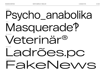NORMAL

Psycho\_anabolika WIDE Masquerade? EXTRAWIDE Veterinär® EXTENDED Ladrões.pc EXPANDED FakeNews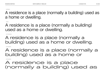NORMAL

A residence is a place (normally a building) used as a home or dwelling.

WIDE

A residence is a place (normally a building) used as a home or dwelling.

EXTRAWIDE

A residence is a place (normally a building) used as a home or dwelling.

EXTENDED

A residence is a place (normally a building) used as a home or

EXPANDED

#### A residence is a place (normally a building) used as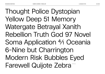Thought Police Dystopian Yellow Deep 51 Memory Watergate Betrayal Xanith Rebellion Truth God 97 Novel Soma Application 4⁄1 Oceania 6-Nine but Charrington Modern Risk Bubbles Eyed Farewell Quijote Zebra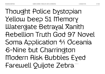Thought Police Dystopian Yellow Deep 51 Memory Watergate Betrayal Xanith Rebellion Truth God 97 Novel Soma Application 4⁄1 Oceania 6-Nine but Charrington Modern Risk Bubbles Eyed Farewell Quijote Zebra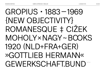GROPIUS • 1883—1969 {NEW OBJECTIVITY} ROMANESQUE ‡ CIŽEK MOHOLY×NAGY~BOOKS 1920 (NLD+FRA+GER) »GOTTLIEB HERMANN«

GEWERKSCHAFT.BUND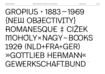### GROPIUS • 1883—1969 {NEW OBJECTIVITY} ROMANESQUE ‡ CIŽEK MOHOLY×NAGY~BOOKS 1920 (NLD+FRA+GER) »GOTTLIEB HERMANN« GEWERKSCHAFT.BUND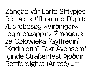Zângão vår Lartë Shtypjes Réttlætis #l'homme Dignité Ældrebesøg »Virðingar« régime@app.nz Žmogaus że Człowieka [Gyffredin] "Kadınların" Fakt Ävensom\* Içinde Straßenfest Þjóðdir Rettferdighet (Arrêté) ...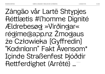**LA BOLDE VITA** 

Zângão vår Lartë Shtypjes Réttlætis #l'homme Dignité **Ældrebesøg »Virðingar«** réqime@app.nz Žmogaus że Człowieka [Gyffredin] "Kadınların" Fakt Ävensom\* Içinde Straßenfest Þjóðdir Rettferdighet (Arrêté) ... 50/60 pt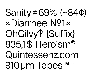## Sanity ≠ 69% (~84¢) » Diarrhée N?1« OhGilvy? {Suffix} 835.1\$ Heroism® Quintessenz.com 910 um Tapes<sup>TM</sup>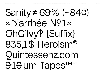## $Sanity = 69\% (-84¢)$ » Diarrhée Nº1« OhGilvy? {Suffix} 835.1\$ Heroism® **Quintessenz.com** 910 um Tapes<sup>TM</sup>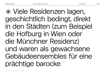✳ Viele Residenzen lagen, geschichtlich bedingt, direkt in den Städten (zum Beispiel die Hofburg in Wien oder die Münchner Residenz) und waren als gewachsene Gebäudeensembles für eine prächtige barocke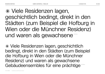✳ Viele Residenzen lagen, geschichtlich bedingt, direkt in den Städten (zum Beispiel die Hofburg in Wien oder die Münchner Residenz) und waren als gewachsene

✳ Viele Residenzen lagen, geschichtlich bedingt, direkt in den Städten (zum Beispiel die Hofburg in Wien oder die Münchner Residenz) und waren als gewachsene Gebäudeensembles für eine prächtige 32/39 pt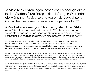✳ Viele Residenzen lagen, geschichtlich bedingt, direkt in den Städten (zum Beispiel die Hofburg in Wien oder die Münchner Residenz) und waren als gewachsene Gebäudeensembles für eine prächtige barocke<sup>24/30 pt</sup>

✳ Viele Residenzen lagen, geschichtlich bedingt, direkt in den Städten (zum Beispiel die Hofburg in Wien oder die Münchner Residenz) und waren als gewachsene Gebäudeensembles für eine prächtige barocke Hofhaltung nur bedingt geeignet. Um eine bessere Heizbarkeit der 18/23 pt

✳ Viele Residenzen lagen, geschichtlich bedingt, direkt in den Städten (zum Beispiel die Hofburg in Wien oder die Münchner Residenz) und waren als gewachsene Gebäudeensembles für eine prächtige barocke Hofhaltung nur bedingt geeignet. Um eine bessere Heizbarkeit der Räumlichkeiten zu erreichen, waren die Appartements häufig 14/19 pt

✳ Viele Residenzen lagen, geschichtlich bedingt, direkt in den Städten (zum Beispiel die Hofburg in Wien oder die Münchner Residenz) und waren als gewachsene Gebäudeensembles für eine prächtige barocke Hofhaltung nur bedingt geeignet. Um eine bessere Heizbarkeit der Räumlichkeiten zu erreichen, waren die Appartements häufig bescheidener dimensioniert. Zudem lagen althergebrachte Residenzen oft in eng bebauten Gassen und Straßen, wodurch viele 11/15 pt

✳ Viele Residenzen lagen, geschichtlich bedingt, direkt in den Städten (zum Beispiel die Hofburg in Wien oder die Münchner Residenz) und waren als gewachsene Gebäudeensembles für eine prächtige barocke Hofhaltung nur bedingt geeignet. Um eine bessere Heizbarkeit der Räumlichkeiten zu erreichen, waren die Appartements häufig bescheidener dimensioniert. Zudem lagen althergebrachte Residenzen oft in eng bebauten Gassen und Straßen, wodurch viele Räume wenig Tageslicht hatten. Außerdem mussten nach einem langen Winter nicht oder nur ungenügend 9/13 pt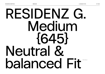# RESIDENZ G. Medium {645} Neutral & balanced Fit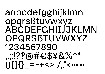## aabcdefgghijklmn opgrsßtuvwxyz ABCDEFGHILJJKLMN OPQRSBTUVWXYZ 1234567890  $1.127$ @# $6$ \$¥&%^\*  $( ) \| \{ \}$  =-+<>|/"<><>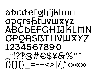## abcdefohijklmn ODGISDIUVWXYZ ABCDEFGHIJKLMN OPORSISTLIVIUXYZ 1234567890  $1.127674644676$  $( ) \| \{ \}$  =-+<>|/"<><>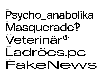NORMAL

### Psycho\_anabolika WIDE Masquerade? EXTRAWIDE Veterinär® EXTENDED Ladrões.pc

FakeNews

EXPANDED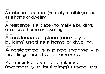NORMAL

#### A residence is a place (normally a building) used as a home or dwelling.

WIDE

A residence is a place (normally a building) used as a home or dwelling.

EXTRAWIDE

### A residence is a place (normally a building) used as a home or dwelling.

EXTENDED

### A residence is a place (normally a building) used as a home or

EXPANDED

### A residence is a place (normally a building) used as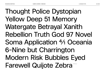Thought Police Dystopian Yellow Deep 51 Memory Watergate Betrayal Xanith Rebellion Truth God 97 Novel Soma Application 4⁄1 Oceania 6-Nine but Charrington Modern Risk Bubbles Eyed Farewell Quijote Zebra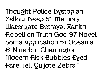Thought Police Dystopian Yellow Deep 51 Memory Watergate Betrayal Xanith Rebellion Truth God 97 Novel Soma Application 4⁄1 Oceania 6-Nine but Charrington Modern Risk Bubbles Eyed Farewell Quijote Zebra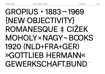### GROPIUS • 1883—1969 {NEW OBJECTIVITY} ROMANESQUE ‡ CIŽEK MOHOLY×NAGY~BOOKS 1920 (NLD+FRA+GER) »GOTTLIEB HERMANN« GEWERKSCHAFT.BUND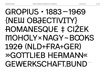### GROPIUS • 1883—1969 {NEW OBJECTIVITY} ROMANESQUE ‡ CIŽEK MOHOLY×NAGY~BOOKS 1920 (NLD+FRA+GER) »GOTTLIEB HERMANN« GEWERKSCHAFT.BUND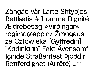Zângão vår Lartë Shtypjes Réttlætis #l'homme Dignité Ældrebesøg »Virðingar« régime@app.nz Žmogaus że Człowieka [Gyffredin] "Kadınların" Fakt Ävensom\* Içinde Straßenfest Þjóðdir Rettferdighet (Arrêté) …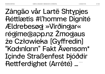Zângão vår Lartë Shtypjes Réttlætis #l'homme Dignité Ældrebesøg »Virðingar« régime@app.nz Žmogaus że Człowieka [Gyffredin] "Kadınların" Fakt Ävensom\* Içinde Straßenfest Þjóðdir Rettferdighet (Arrêté) ...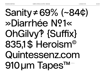## Sanity ≠ 69% (~84¢) »Diarrhée Nº1« OhGilw? {Suffix} 835.1\$ Heroism® Quintessenz.com 910 um Tapes™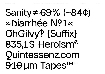#### **LA BOLDE VITA**

## Sanity  $\neq 69\%$  (~84¢) » Diarrhée N?1« **OhGilw? {Suffix}** 835.1\$ Heroism® **Ouintessenz.com** 910um TapesTM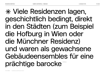✳ Viele Residenzen lagen, geschichtlich bedingt, direkt in den Städten (zum Beispiel die Hofburg in Wien oder die Münchner Residenz) und waren als gewachsene Gebäudeensembles für eine prächtige barocke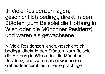### ✳ Viele Residenzen lagen, geschichtlich bedingt, direkt in den Städten (zum Beispiel die Hofburg in Wien oder die Münchner Residenz) und waren als gewachsene

✳ Viele Residenzen lagen, geschichtlich bedingt, direkt in den Städten (zum Beispiel die Hofburg in Wien oder die Münchner Residenz) und waren als gewachsene Gebäudeensembles für eine prächtige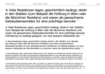✳ Viele Residenzen lagen, geschichtlich bedingt, direkt in den Städten (zum Beispiel die Hofburg in Wien oder die Münchner Residenz) und waren als gewachsene Gebäudeensembles für eine prächtige barocke<sup>24/30 pt</sup>

✳ Viele Residenzen lagen, geschichtlich bedingt, direkt in den Städten (zum Beispiel die Hofburg in Wien oder die Münchner Residenz) und waren als gewachsene Gebäudeensembles für eine prächtige barocke Hofhaltung nur bedingt geeignet. Um eine bessere Heizbarkeit der 18/23 pt

✳ Viele Residenzen lagen, geschichtlich bedingt, direkt in den Städten (zum Beispiel die Hofburg in Wien oder die Münchner Residenz) und waren als gewachsene Gebäudeensembles für eine prächtige barocke Hofhaltung nur bedingt geeignet. Um eine bessere Heizbarkeit der Räumlichkeiten zu erreichen, waren die Appartements häufig 14/19 pt

✳ Viele Residenzen lagen, geschichtlich bedingt, direkt in den Städten (zum Beispiel die Hofburg in Wien oder die Münchner Residenz) und waren als gewachsene Gebäudeensembles für eine prächtige barocke Hofhaltung nur bedingt geeignet. Um eine bessere Heizbarkeit der Räumlichkeiten zu erreichen, waren die Appartements häufig bescheidener dimensioniert. Zudem lagen althergebrachte Residenzen oft in eng bebauten Gassen und Straßen 11/15 pt

✳ Viele Residenzen lagen, geschichtlich bedingt, direkt in den Städten (zum Beispiel die Hofburg in Wien oder die Münchner Residenz) und waren als gewachsene Gebäudeensembles für eine prächtige barocke Hofhaltung nur bedingt geeignet. Um eine bessere Heizbarkeit der Räumlichkeiten zu erreichen, waren die Appartements häufig bescheidener dimensioniert. Zudem lagen althergebrachte Residenzen oft in eng bebauten Gassen und Straßen, wodurch viele Räume wenig Tageslicht hatten. Außerdem mussten nach einem langen Winter nicht oder 9/13 pt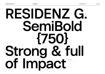**RESIDENZ G. SemiBold {750} Strong & full**  of Impact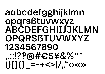### aabcdefgghijklmn opgrsßtuvwxyz ABCDEFGHILJJKLMN OPQRSBTUVWXYZ 1234567890  $1.12204645482\%$  $\int_{0}^{1}$  ()  $\int_{0}^{1}$  = -+<>  $\int_{0}^{1}$  ( )  $\int_{0}^{1}$  ( )  $\int_{0}^{1}$

74/105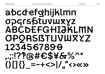### abcdefghijklmn OPGISStUVWXYZ ABCDEFGHIJKLMN **OPQRSBTLIVIUXYZ** 1234567890  $1.127674674676**$  $() [] {}\_ = -+<>|/ \cdot \cdot \cdot \cdot \cdot \rangle$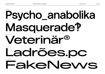NORMAL

### **Psycho\_ anabolika** WIDE **Masquerade‽** EXTRAWIDE Veterinär®

 EXTENDED Ladrões.pc

EXPANDED

# FakeNews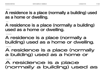NORMAL

#### **A residence is a place (normally a building) used as a home or dwelling.**

WIDE

**A residence is a place (normally a building) used as a home or dwelling.**

EXTRAWIDE

#### A residence is a place (normally a building) used as a home or dwelling.

EXTENDED

#### A residence is a place (normally a building) used as a home or

EXPANDED

#### A residence is a place (normally a building) used as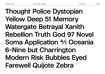**Thought Police Dystopian Yellow Deep 51 Memory Watergate Betrayal Xanith Rebellion Truth God 97 Novel Soma Application 4⁄1 Oceania 6-Nine but Charrington Modern Risk Bubbles Eyed Farewell Quijote Zebra**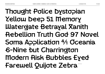**Thought Police Dystopian Yellow Deep 51 Memory Watergate Betrayal Xanith Rebellion Truth God 97 Novel Soma Application 4⁄1 Oceania 6-Nine but Charrington Modern Risk Bubbles Eyed** Farewell Quijote Zebra<sup>\*</sup>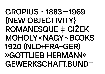### **GROPIUS • 1883—1969 {NEW OBJECTIVITY} ROMANESQUE ‡ CIŽEK MOHOLY×NAGY~BOOKS 1920 (NLD+FRA+GER) »GOTTLIEB HERMANN«** GEWERKSCHAFT.BUND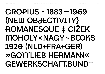### **GROPIUS • 1883—1969 {NEW OBJECTIVITY} ROMANESQUE ‡ CIŽEK MOHOLY×NAGY~BOOKS 1920 (NLD+FRA+GER) »GOTTLIEB HERMANN« GEWERKSCHAFT.BUND**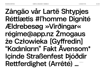### **Zângão vår Lartë Shtypjes Réttlætis #l'homme Dignité Ældrebesøg »Virðingar« régime@app.nz Žmogaus że Człowieka [Gyffredin] "Kadınların" Fakt Ävensom\* Içinde Straßenfest Þjóðdir Rettferdighet (Arrêté) …** 50/60 pt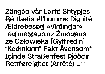**LA BOLDE VITA** 

Zângão vår Lartë Shtypies Réttlætis #l'homme Dignité **Ældrebesøg »Virðingar«** régime@app.nz Žmogaus że Człowieka [Gyffredin] "Kadınların" Fakt Ävensom\* Içinde Straßenfest Þjóðdir Rettferdighet (Arrêté) ... 50/60 pt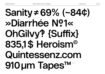84/105

# Sanity ≠ 69% (~84¢) »Diarrhée N?1« OhGilvy? {Suffix} 835.1\$ Heroism® Quintessenz.com 910 um Tapes<sup>TM</sup>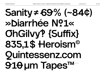#### **LA BOLDE VITA**

## Sanity ≠ 69% (~84¢) » Diarrhée N?1« **OhGilvy? {Suffix}** 835.1\$ Heroism® **Ouintessenz.com** 910 um TapesTM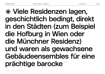### **✳ Viele Residenzen lagen, geschichtlich bedingt, direkt in den Städten (zum Beispiel die Hofburg in Wien oder die Münchner Residenz) und waren als gewachsene Gebäudeensembles für eine prächtige barocke**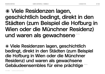#### **✳ Viele Residenzen lagen, geschichtlich bedingt, direkt in den Städten (zum Beispiel die Hofburg in Wien oder die Münchner Residenz)** und waren als gewachsene

**✳ Viele Residenzen lagen, geschichtlich bedingt, direkt in den Städten (zum Beispiel die Hofburg in Wien oder die Münchner Residenz) und waren als gewachsene**  Gebäudeensembles für eine prächtige **32,39pt**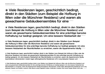#### **✳ Viele Residenzen lagen, geschichtlich bedingt, direkt in den Städten (zum Beispiel die Hofburg in Wien oder die Münchner Residenz) und waren als gewachsene Gebäudeensembles für eine** 24/30 pt

**✳ Viele Residenzen lagen, geschichtlich bedingt, direkt in den Städten (zum Beispiel die Hofburg in Wien oder die Münchner Residenz) und waren als gewachsene Gebäudeensembles für eine prächtige barocke Hofhaltung nur bedingt geeignet. Um eine bessere Heizbarkeit der** 18/23 pt

**✳ Viele Residenzen lagen, geschichtlich bedingt, direkt in den Städten (zum Beispiel die Hofburg in Wien oder die Münchner Residenz) und waren als gewachsene Gebäudeensembles für eine prächtige barocke Hofhaltung nur bedingt geeignet. Um eine bessere Heizbarkeit der Räumlichkeiten zu erreichen, waren die Appartements häufig** 14/19 pt

**✳ Viele Residenzen lagen, geschichtlich bedingt, direkt in den Städten (zum Beispiel die Hofburg in Wien oder die Münchner Residenz) und waren als gewachsene Gebäudeensembles für eine prächtige barocke Hofhaltung nur bedingt geeignet. Um eine bessere Heizbarkeit der Räumlichkeiten zu erreichen, waren die Appartements häufig bescheidener dimensioniert. Zudem lagen althergebrachte Residenzen oft in eng bebauten Gassen und** 11/15 pt

**✳ Viele Residenzen lagen, geschichtlich bedingt, direkt in den Städten (zum Beispiel die Hofburg in Wien oder die Münchner Residenz) und waren als gewachsene Gebäudeensembles für eine prächtige barocke Hofhaltung nur bedingt geeignet. Um eine bessere Heizbarkeit der Räumlichkeiten zu erreichen, waren die Appartements häufig bescheidener dimensioniert. Zudem lagen althergebrachte Residenzen oft in eng bebauten Gassen und Straßen, wodurch viele Räume wenig Tageslicht hatten. Außerdem mussten nach einem langen Winter nicht oder** 9/13 pt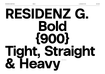**RESIDENZ G. Bold {900} Tight, Straight**  & Heavy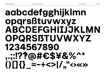### aabcdefgghijklmn opgrsßtuvwxyz ABCDEFGHILJJKLMN OPQRSBTUVWXYZ 1234567890  $1122@#C$*&%^*$  $013 = -+551$

90/105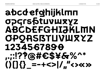### abcdefghijklmn OPGISPTUVUXYZ ABCDEFGHIJKLMN **OPQRSISTLIVIUXYZ** 1234567890  $1.1276 #6$ \$¥&%^\*  $( ) [ ] { }_{ }$  =-+<>|/,"<><>

91/105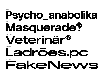NORMAL

**Psycho\_anabolika** WIDE **Masquerade‽** EXTRAWIDE **Veterinär®** EXTENDED **Ladrões.pc** EXPANDED

**FakeNews**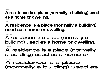NORMAL

#### **A residence is a place (normally a building) used as a home or dwelling.**

WIDE

#### **A residence is a place (normally a building) used as a home or dwelling.**

EXTRAWIDE

#### **A residence is a place (normally a building) used as a home or dwelling.**

EXTENDED

#### **A residence is a place (normally a building) used as a home or**

EXPANDED

#### **A residence is a place (normally a building) used as**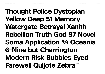### **Thought Police Dystopian Yellow Deep 51 Memory Watergate Betrayal Xanith Rebellion Truth God 97 Novel Soma Application 4⁄1 Oceania 6-Nine but Charrington Modern Risk Bubbles Eyed Farewell Quijote Zebra**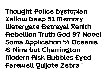### **Thought Police Dystopian Yellow Deep 51 Memory Watergate Betrayal Xanith Rebellion Truth God 97 Novel Soma Application 4⁄1 Oceania 6-Nine but Charrington Modern Risk Bubbles Eyed** Farewell Quijote Zebra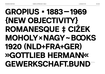# **GROPIUS • 1883—1969 {NEW OBJECTIVITY} ROMANESQUE ‡ CIŽEK**

# **MOHOLY×NAGY~BOOKS 1920 (NLD+FRA+GER) »GOTTLIEB HERMANN« GEWERKSCHAFT.BUND**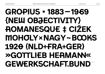### **GROPIUS • 1883—1969 {NEW OBJECTIVITY} ROMANESQUE ‡ CIŽEK MOHOLY×NAGY~BOOKS 1920 (NLD+FRA+GER) »GOTTLIEB HERMANN« GEWERKSCHAFT.BUND**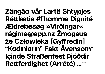### **Zângão vår Lartë Shtypjes Réttlætis #l'homme Dignité Ældrebesøg »Virðingar« régime@app.nz Žmogaus że Człowieka [Gyffredin] "Kadınların" Fakt Ävensom\* Içinde Straßenfest Þjóðdir**  Rettferdighet (Arrêté) ...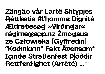### **Zângão vår Lartë Shtypjes Réttlætis #l'homme Dignité Ældrebesøg »Virðingar« régime@app.nz Žmogaus że Człowieka [Gyffredin] "Kadınların" Fakt Ävensom\* Içinde Straßenfest Þjóðdir Rettferdighet (Arrêté) …**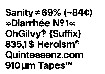# Sanity ≠ 69% (~84¢) »Diarrhée N?1« OhGilvy? {Suffix} 835,1\$ Heroism® Quintessenz.com 910 um Tapes™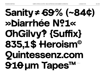# **Sanity≠69% (~84¢) »Diarrhée №1« OhGilvy‽ {Suffix} 835,1\$ Heroism© Quintessenz.com 910 μm Tapes™**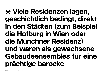### **✳ Viele Residenzen lagen, geschichtlich bedingt, direkt in den Städten (zum Beispiel die Hofburg in Wien oder die Münchner Residenz)**

### **und waren als gewachsene Gebäudeensembles für eine**

prächtige barocke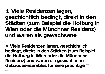#### **✳ Viele Residenzen lagen, geschichtlich bedingt, direkt in den Städten (zum Beispiel die Hofburg in Wien oder die Münchner Residenz)**  und waren als gewachsene

**✳ Viele Residenzen lagen, geschichtlich bedingt, direkt in den Städten (zum Beispiel die Hofburg in Wien oder die Münchner Residenz) und waren als gewachsene**  Gebäudeensembles für eine prächtige **32,39** pt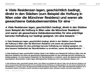#### **✳ Viele Residenzen lagen, geschichtlich bedingt, direkt in den Städten (zum Beispiel die Hofburg in Wien oder die Münchner Residenz) und waren als gewachsene Gebäudeensembles für eine** 24/30 pt

**✳ Viele Residenzen lagen, geschichtlich bedingt, direkt in den Städten (zum Beispiel die Hofburg in Wien oder die Münchner Residenz) und waren als gewachsene Gebäudeensembles für eine prächtige barocke Hofhaltung nur bedingt geeignet. Um eine bessere** 18/23 pt

**✳ Viele Residenzen lagen, geschichtlich bedingt, direkt in den Städten (zum Beispiel die Hofburg in Wien oder die Münchner Residenz) und waren als gewachsene Gebäudeensembles für eine prächtige barocke Hofhaltung nur bedingt geeignet. Um eine bessere Heizbarkeit der Räumlichkeiten zu erreichen, waren die Appartements** 14/19 pt

**✳ Viele Residenzen lagen, geschichtlich bedingt, direkt in den Städten (zum Beispiel die Hofburg in Wien oder die Münchner Residenz) und waren als gewachsene Gebäudeensembles für eine prächtige barocke Hofhaltung nur bedingt geeignet. Um eine bessere Heizbarkeit der Räumlichkeiten zu erreichen, waren die Appartements häufig bescheidener dimensioniert. Zudem lagen althergebrachte Residenzen oft in eng bebauten Gassen und** 11/15 pt

**✳ Viele Residenzen lagen, geschichtlich bedingt, direkt in den Städten (zum Beispiel die Hofburg in Wien oder die Münchner Residenz) und waren als gewachsene Gebäudeensembles für eine prächtige barocke Hofhaltung nur bedingt geeignet. Um eine bessere Heizbarkeit der Räumlichkeiten zu erreichen, waren die Appartements häufig bescheidener dimensioniert. Zudem lagen althergebrachte Residenzen oft in eng bebauten Gassen und Straßen, wodurch viele Räume wenig Tageslicht hatten. Außerdem mussten nach einem langen Winter** 9/13 pt